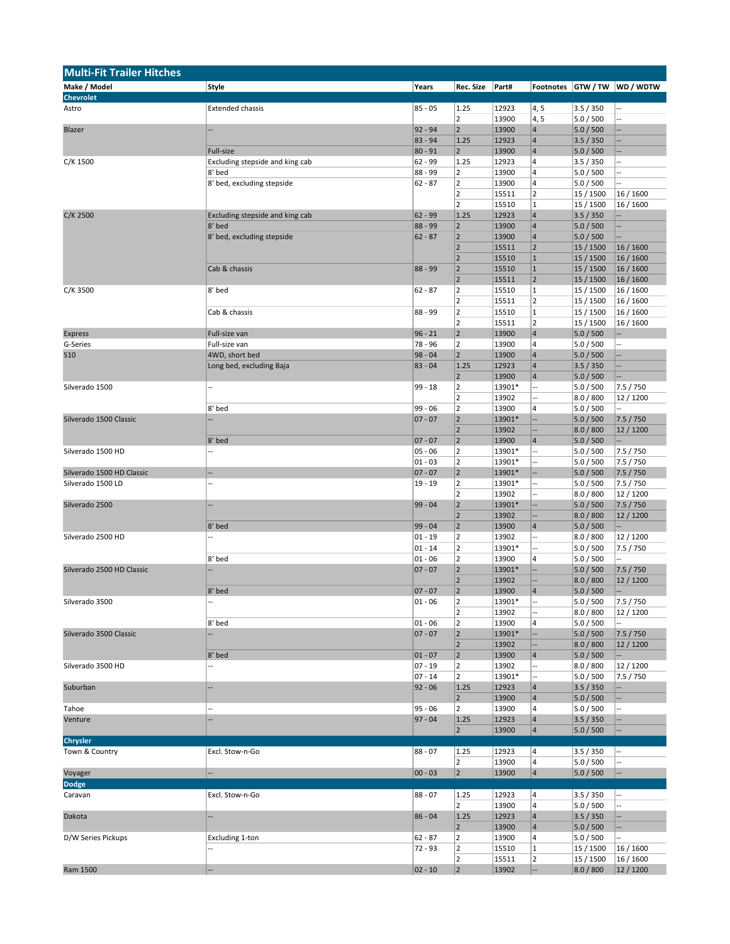| <b>Multi-Fit Trailer Hitches</b> |                                 |                    |                         |          |                         |           |           |
|----------------------------------|---------------------------------|--------------------|-------------------------|----------|-------------------------|-----------|-----------|
| Make / Model                     | Style                           | Years              | <b>Rec. Size</b>        | Part#    | Footnotes               | GTW / TW  | WD / WDTW |
| <b>Chevrolet</b>                 |                                 |                    |                         |          |                         |           |           |
| Astro                            | <b>Extended chassis</b>         | $85 - 05$          | 1.25                    | 12923    | 4, 5                    | 3.5 / 350 |           |
|                                  |                                 |                    | $\overline{2}$          | 13900    | 4, 5                    | 5.0 / 500 |           |
| Blazer                           |                                 | $92 - 94$          | $\overline{2}$          | 13900    | $\overline{4}$          | 5.0 / 500 |           |
|                                  |                                 | $83 - 94$          | 1.25                    | 12923    | $\overline{4}$          | 3.5 / 350 |           |
|                                  | Full-size                       | $80 - 91$          | $\overline{2}$          | 13900    | 4                       | 5.0 / 500 |           |
| C/K 1500                         | Excluding stepside and king cab | 62 - 99            | 1.25                    | 12923    | 4                       | 3.5 / 350 |           |
|                                  | 8' bed                          | 88 - 99            | $\overline{2}$          | 13900    | 4                       | 5.0 / 500 |           |
|                                  | 8' bed, excluding stepside      | $62 - 87$          | $\overline{2}$          | 13900    | 4                       | 5.0 / 500 |           |
|                                  |                                 |                    | $\overline{2}$          | 15511    | $\overline{2}$          | 15 / 1500 | 16 / 1600 |
|                                  |                                 |                    | $\overline{2}$          | 15510    | $\mathbf 1$             | 15 / 1500 | 16 / 1600 |
| C/K 2500                         | Excluding stepside and king cab | $62 - 99$          | 1.25                    | 12923    | $\vert 4$               | 3.5 / 350 |           |
|                                  | 8' bed                          | 88 - 99            | $\overline{2}$          | 13900    | $\overline{\mathbf{4}}$ | 5.0 / 500 | Ξ.        |
|                                  | 8' bed, excluding stepside      | $62 - 87$          | $\overline{2}$          | 13900    | $\vert 4 \vert$         | 5.0 / 500 |           |
|                                  |                                 |                    | $\overline{2}$          | 15511    | 2                       | 15 / 1500 | 16 / 1600 |
|                                  |                                 |                    | $\overline{2}$          | 15510    | $\vert$ 1               | 15 / 1500 | 16 / 1600 |
|                                  | Cab & chassis                   | $88 - 99$          | $\overline{2}$          | 15510    | $\mathbf 1$             | 15 / 1500 | 16 / 1600 |
|                                  |                                 |                    | $\mathbf 2$             |          | $\overline{2}$          |           |           |
|                                  |                                 | $62 - 87$          | $\mathbf 2$             | 15511    | $\mathbf 1$             | 15 / 1500 | 16 / 1600 |
| C/K 3500                         | 8' bed                          |                    |                         | 15510    |                         | 15 / 1500 | 16 / 1600 |
|                                  |                                 |                    | $\overline{2}$          | 15511    | $\overline{\mathbf{c}}$ | 15 / 1500 | 16 / 1600 |
|                                  | Cab & chassis                   | 88 - 99            | $\mathbf 2$             | 15510    | $\mathbf 1$             | 15 / 1500 | 16 / 1600 |
|                                  |                                 |                    | $\overline{2}$          | 15511    | $\overline{2}$          | 15 / 1500 | 16 / 1600 |
| <b>Express</b>                   | Full-size van                   | $96 - 21$          | $\overline{2}$          | 13900    | $\sqrt{4}$              | 5.0 / 500 |           |
| G-Series                         | Full-size van                   | 78 - 96            | $\overline{2}$          | 13900    | 4                       | 5.0 / 500 |           |
| <b>S10</b>                       | 4WD, short bed                  | $98 - 04$          | $\overline{2}$          | 13900    | $\overline{4}$          | 5.0 / 500 |           |
|                                  | Long bed, excluding Baja        | $83 - 04$          | 1.25                    | 12923    | $\vert 4 \vert$         | 3.5 / 350 | Ξ.        |
|                                  |                                 |                    | $\overline{2}$          | 13900    | $\sqrt{4}$              | 5.0 / 500 |           |
| Silverado 1500                   |                                 | 99 - 18            | $\overline{2}$          | 13901*   |                         | 5.0 / 500 | 7.5 / 750 |
|                                  |                                 |                    | $\overline{2}$          | 13902    |                         | 8.0 / 800 | 12 / 1200 |
|                                  | 8' bed                          | 99 - 06            | $\overline{2}$          | 13900    | 4                       | 5.0 / 500 |           |
| Silverado 1500 Classic           |                                 | $07 - 07$          | $\overline{2}$          | 13901*   |                         | 5.0 / 500 | 7.5 / 750 |
|                                  |                                 |                    | $\mathbf 2$             | 13902    | ÷                       | 8.0 / 800 | 12/1200   |
|                                  | 8' bed                          | $07 - 07$          | $\mathbf 2$             | 13900    | 4                       | 5.0 / 500 |           |
| Silverado 1500 HD                |                                 | 05 - 06            | $\overline{2}$          | 13901*   |                         | 5.0 / 500 | 7.5 / 750 |
|                                  |                                 | $01 - 03$          | $\overline{2}$          | 13901*   |                         | 5.0 / 500 | 7.5 / 750 |
| Silverado 1500 HD Classic        |                                 | $07 - 07$          | $\overline{2}$          | 13901*   |                         | 5.0 / 500 | 7.5 / 750 |
| Silverado 1500 LD                | ш,                              | $19 - 19$          | $\overline{\mathbf{c}}$ | 13901*   |                         | 5.0 / 500 | 7.5 / 750 |
|                                  |                                 |                    | $\overline{2}$          | 13902    |                         | 8.0 / 800 | 12 / 1200 |
| Silverado 2500                   |                                 | $99 - 04$          | $\overline{2}$          | 13901*   | 4                       | 5.0 / 500 | 7.5 / 750 |
|                                  |                                 |                    | $\overline{2}$          | 13902    | --                      | 8.0 / 800 | 12/1200   |
|                                  | 8' bed                          | $99 - 04$          | $\mathbf 2$             | 13900    | 4                       | 5.0 / 500 |           |
| Silverado 2500 HD                |                                 | 01 - 19            | $\overline{2}$          | 13902    |                         | 8.0 / 800 | 12/1200   |
|                                  |                                 | $01 - 14$          | $\overline{2}$          | 13901*   |                         | 5.0 / 500 | 7.5 / 750 |
|                                  | 8' bed                          | 01 - 06            | $\overline{2}$          | 13900    | 4                       | 5.0 / 500 |           |
| Silverado 2500 HD Classic        |                                 | $07 - 07$          | $\overline{2}$          | 13901*   |                         | 5.0 / 500 | 7.5 / 750 |
|                                  |                                 |                    | $\overline{2}$          |          |                         | 8.0 / 800 |           |
|                                  | 8' bed                          |                    | $\overline{2}$          | 13902    | $\overline{4}$          |           | 12/1200   |
|                                  |                                 | $07 - 07$          |                         | 13900    |                         | 5.0 / 500 |           |
| Silverado 3500                   |                                 | $01 - 06$          |                         | $13901*$ |                         | 5.0 / 500 | 7.5 / 750 |
|                                  |                                 |                    | $\overline{2}$          | 13902    |                         | 8.0 / 800 | 12 / 1200 |
|                                  | 8' bed                          | $01 - 06$          | $\mathbf 2$             | 13900    | 4                       | 5.0 / 500 | Ξ.        |
| Silverado 3500 Classic           |                                 | $07 - 07$          | $\overline{2}$          | 13901*   | 4                       | 5.0 / 500 | 7.5 / 750 |
|                                  |                                 |                    | $\overline{2}$          | 13902    | ÷                       | 8.0 / 800 | 12/1200   |
|                                  | 8' bed                          | $01 - 07$          | $\overline{2}$          | 13900    | 4                       | 5.0 / 500 |           |
| Silverado 3500 HD                |                                 | $07 - 19$          | $\overline{\mathbf{c}}$ | 13902    |                         | 8.0 / 800 | 12/1200   |
|                                  |                                 | $07 - 14$          | $\overline{2}$          | 13901*   |                         | 5.0 / 500 | 7.5 / 750 |
| Suburban                         |                                 | $92 - 06$          | 1.25                    | 12923    | 4                       | 3.5 / 350 |           |
|                                  |                                 |                    | $\overline{2}$          | 13900    | 4                       | 5.0 / 500 |           |
| Tahoe                            |                                 | $95 - 06$          | $\overline{2}$          | 13900    | 4                       | 5.0 / 500 |           |
| Venture                          |                                 | $97 - 04$          | 1.25                    | 12923    | $\overline{4}$          | 3.5 / 350 |           |
|                                  |                                 |                    | $\overline{2}$          | 13900    | $\vert 4$               | 5.0 / 500 |           |
| <b>Chrysler</b>                  |                                 |                    |                         |          |                         |           |           |
| Town & Country                   | Excl. Stow-n-Go                 | $88 - 07$          | 1.25                    | 12923    | 4                       | 3.5 / 350 |           |
|                                  |                                 |                    | $\overline{2}$          | 13900    | 4                       | 5.0 / 500 |           |
| Voyager                          |                                 | $00 - 03$          | $\overline{2}$          | 13900    | 4                       | 5.0 / 500 |           |
| Dodge                            |                                 |                    |                         |          |                         |           |           |
| Caravan                          | Excl. Stow-n-Go                 | $88 - 07$          | 1.25                    | 12923    | 4                       | 3.5 / 350 |           |
|                                  |                                 |                    | $\overline{2}$          | 13900    | 4                       | 5.0 / 500 |           |
| Dakota                           |                                 | $86 - 04$          | 1.25                    | 12923    | 4                       | 3.5 / 350 |           |
|                                  |                                 |                    | $\overline{2}$          | 13900    | 4                       | 5.0 / 500 |           |
| D/W Series Pickups               | Excluding 1-ton                 |                    | $\overline{2}$          |          | 4                       | 5.0 / 500 |           |
|                                  |                                 | 62 - 87<br>72 - 93 | $\mathbf 2$             | 13900    | $\mathbf 1$             |           |           |
|                                  |                                 |                    |                         | 15510    |                         | 15 / 1500 | 16 / 1600 |
|                                  |                                 |                    | $\overline{2}$          | 15511    | $\overline{\mathbf{c}}$ | 15 / 1500 | 16 / 1600 |
| Ram 1500                         | $\qquad \qquad \cdots$          | $02 - 10$          | $\overline{2}$          | 13902    |                         | 8.0 / 800 | 12/1200   |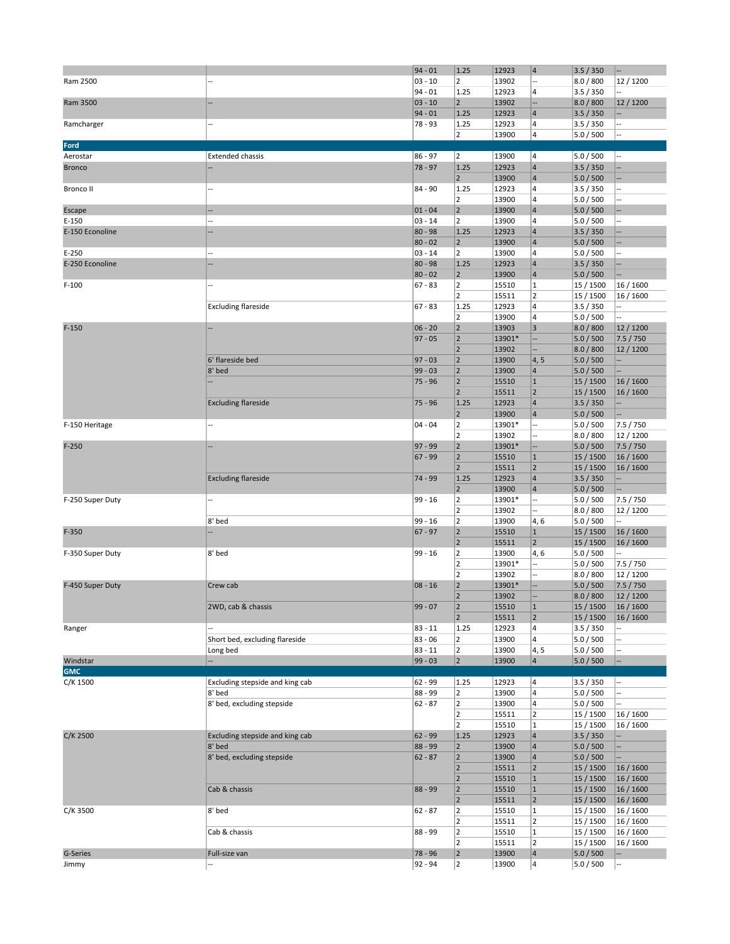|                   |                                           | $94 - 01$            | 1.25                             | 12923          | $\vert 4$                                 | 3.5 / 350              | н.                       |
|-------------------|-------------------------------------------|----------------------|----------------------------------|----------------|-------------------------------------------|------------------------|--------------------------|
|                   |                                           | $03 - 10$            | $\overline{2}$                   | 13902          | $\overline{a}$                            | 8.0 / 800              |                          |
| Ram 2500          |                                           |                      |                                  |                |                                           |                        | 12 / 1200                |
|                   |                                           | $94 - 01$            | 1.25                             | 12923          | 4                                         | 3.5 / 350              |                          |
| Ram 3500          |                                           | $03 - 10$            | $\overline{2}$                   | 13902          | --                                        | 8.0 / 800              | 12/1200                  |
|                   |                                           | $94 - 01$            | 1.25                             | 12923          | $\overline{4}$                            | 3.5 / 350              |                          |
| Ramcharger        |                                           | 78 - 93              | 1.25                             | 12923          | 4                                         | 3.5 / 350              |                          |
|                   |                                           |                      | $\overline{2}$                   | 13900          | $\overline{\mathbf{4}}$                   | 5.0 / 500              | --                       |
| Ford              |                                           |                      |                                  |                |                                           |                        |                          |
| Aerostar          | <b>Extended chassis</b>                   | $86 - 97$            | $ 2\rangle$                      | 13900          | 4                                         | 5.0 / 500              |                          |
|                   |                                           |                      |                                  |                |                                           |                        |                          |
| <b>Bronco</b>     |                                           | 78 - 97              | 1.25                             | 12923          | $\overline{4}$                            | 3.5 / 350              |                          |
|                   |                                           |                      | $\overline{2}$                   | 13900          | $\overline{4}$                            | 5.0 / 500              |                          |
| <b>Bronco II</b>  | --                                        | 84 - 90              | 1.25                             | 12923          | $\overline{\mathbf{4}}$                   | 3.5 / 350              |                          |
|                   |                                           |                      | $\overline{2}$                   | 13900          | $\overline{\mathbf{4}}$                   | 5.0 / 500              |                          |
| Escape            | --                                        | $01 - 04$            | $\overline{2}$                   | 13900          | $\overline{4}$                            | 5.0 / 500              |                          |
| $E-150$           |                                           | $03 - 14$            | $\overline{2}$                   | 13900          | $\overline{\mathbf{4}}$                   | 5.0 / 500              |                          |
| E-150 Econoline   |                                           | $80 - 98$            | 1.25                             | 12923          | $\overline{4}$                            |                        |                          |
|                   |                                           |                      |                                  |                |                                           | 3.5 / 350              |                          |
|                   |                                           | $80 - 02$            | $\overline{2}$                   | 13900          | $\overline{\mathbf{4}}$                   | 5.0 / 500              |                          |
| $E-250$           |                                           | $03 - 14$            | $\overline{2}$                   | 13900          | $\overline{\mathbf{4}}$                   | 5.0 / 500              |                          |
| E-250 Econoline   |                                           | $80 - 98$            | 1.25                             | 12923          | $\overline{4}$                            | 3.5 / 350              |                          |
|                   |                                           | $80 - 02$            | $\mathbf 2$                      | 13900          | $\overline{\mathbf{4}}$                   | 5.0 / 500              |                          |
| $F-100$           |                                           | $67 - 83$            | $\overline{2}$                   | 15510          | $\overline{1}$                            | 15 / 1500              | 16 / 1600                |
|                   |                                           |                      | $\overline{2}$                   | 15511          | $\overline{2}$                            | 15 / 1500              | 16 / 1600                |
|                   | <b>Excluding flareside</b>                | $67 - 83$            | 1.25                             | 12923          | $\overline{\mathbf{4}}$                   | 3.5 / 350              |                          |
|                   |                                           |                      |                                  |                |                                           |                        |                          |
|                   |                                           |                      | $\overline{2}$                   | 13900          | 4                                         | 5.0 / 500              |                          |
| $F-150$           |                                           | $06 - 20$            | $\overline{2}$                   | 13903          | $\overline{3}$                            | 8.0 / 800              | 12/1200                  |
|                   |                                           | $97 - 05$            | $\mathbf 2$                      | 13901*         | --                                        | 5.0 / 500              | 7.5 / 750                |
|                   |                                           |                      | $\overline{2}$                   | 13902          | --                                        | 8.0 / 800              | 12/1200                  |
|                   | 6' flareside bed                          | $97 - 03$            | $\mathbf 2$                      | 13900          | 4, 5                                      | 5.0 / 500              | --                       |
|                   | 8' bed                                    | $99 - 03$            | $\mathbf 2$                      | 13900          | $\overline{4}$                            | 5.0 / 500              |                          |
|                   |                                           |                      | $\mathbf 2$                      |                | $\mathbf{1}$                              |                        |                          |
|                   |                                           | $75 - 96$            |                                  | 15510          |                                           | 15 / 1500              | 16 / 1600                |
|                   |                                           |                      | $\overline{2}$                   | 15511          | $\overline{2}$                            | 15 / 1500              | 16 / 1600                |
|                   | <b>Excluding flareside</b>                | $75 - 96$            | 1.25                             | 12923          | $\overline{\mathbf{4}}$                   | 3.5 / 350              | н.                       |
|                   |                                           |                      | $\mathbf 2$                      | 13900          | $\overline{\mathbf{4}}$                   | 5.0 / 500              |                          |
| F-150 Heritage    | --                                        | $04 - 04$            | $\overline{2}$                   | 13901*         | --                                        | 5.0 / 500              | 7.5 / 750                |
|                   |                                           |                      | $\overline{2}$                   | 13902          |                                           | 8.0 / 800              | 12 / 1200                |
| $F-250$           |                                           | $97 - 99$            | $\mathbf 2$                      | 13901*         | --                                        | 5.0 / 500              | 7.5 / 750                |
|                   |                                           | $67 - 99$            | $\overline{2}$                   | 15510          | $\mathbf{1}$                              |                        |                          |
|                   |                                           |                      |                                  |                |                                           | 15 / 1500              | 16 / 1600                |
|                   |                                           |                      | $\overline{2}$                   | 15511          | $\overline{2}$                            | 15 / 1500              | 16 / 1600                |
|                   | <b>Excluding flareside</b>                | 74 - 99              | 1.25                             | 12923          | $\overline{\mathbf{4}}$                   | 3.5 / 350              | н.                       |
|                   |                                           |                      | $\mathbf 2$                      | 13900          | $\overline{\mathbf{4}}$                   | 5.0 / 500              |                          |
| F-250 Super Duty  |                                           | $99 - 16$            | $\overline{2}$                   | 13901*         | --                                        | 5.0 / 500              | 7.5 / 750                |
|                   |                                           |                      | $\overline{\mathbf{c}}$          | 13902          | --                                        | 8.0 / 800              | 12 / 1200                |
|                   | 8' bed                                    | $99 - 16$            | $\overline{2}$                   | 13900          | 4, 6                                      | 5.0 / 500              |                          |
| $F-350$           |                                           | $67 - 97$            | $\overline{2}$                   | 15510          | $\mathbf{1}$                              | 15 / 1500              | 16 / 1600                |
|                   |                                           |                      |                                  |                |                                           |                        |                          |
|                   |                                           |                      | $\overline{2}$                   | 15511          | $\overline{2}$                            | 15 / 1500              | 16 / 1600                |
| F-350 Super Duty  | 8' bed                                    | $99 - 16$            | $\overline{2}$                   | 13900          | 4,6                                       | 5.0 / 500              |                          |
|                   |                                           |                      | $\overline{2}$                   | 13901*         | --                                        | 5.0 / 500              | 7.5 / 750                |
|                   |                                           |                      | $\overline{\mathbf{c}}$          | 13902          |                                           |                        | 12 / 1200                |
| F-450 Super Duty  | Crew cab                                  |                      |                                  |                |                                           | 8.0 / 800              |                          |
|                   |                                           | $08 - 16$            |                                  |                |                                           |                        |                          |
|                   |                                           |                      | $\overline{2}$<br>$\overline{2}$ | 13901*         |                                           | 5.0 / 500              | 7.5 / 750                |
|                   |                                           |                      |                                  | 13902          |                                           | 8.0 / 800              | 12/1200                  |
|                   | 2WD, cab & chassis                        | $99 - 07$            | $\overline{2}$                   | 15510          | $\mathbf{1}$                              | 15 / 1500              | 16 / 1600                |
|                   |                                           |                      | $\overline{2}$                   | 15511          | $\overline{2}$                            | 15 / 1500              | 16 / 1600                |
| Ranger            |                                           | $83 - 11$            | 1.25                             | 12923          | 4                                         | 3.5 / 350              |                          |
|                   | Short bed, excluding flareside            | $83 - 06$            | $\overline{\mathbf{c}}$          | 13900          | 4                                         | 5.0 / 500              | 4                        |
|                   | Long bed                                  | $83 - 11$            | $\overline{2}$                   | 13900          | 4, 5                                      | 5.0 / 500              |                          |
| Windstar          | щ.                                        | $99 - 03$            | $\overline{2}$                   | 13900          | $\overline{\mathbf{4}}$                   | 5.0 / 500              | Ц,                       |
| <b>GMC</b>        |                                           |                      |                                  |                |                                           |                        |                          |
|                   |                                           |                      |                                  |                | $\overline{\mathbf{4}}$                   |                        |                          |
| C/K 1500          | Excluding stepside and king cab           | $62 - 99$            | 1.25                             | 12923          |                                           | 3.5 / 350              |                          |
|                   | 8' bed                                    | 88 - 99              | $\overline{2}$                   | 13900          | $\overline{\mathbf{4}}$                   | 5.0 / 500              | Ξ.                       |
|                   | 8' bed, excluding stepside                | $62 - 87$            | $\overline{2}$                   | 13900          | 4                                         | 5.0 / 500              |                          |
|                   |                                           |                      | $\overline{2}$                   | 15511          | $\overline{2}$                            | 15 / 1500              | 16 / 1600                |
|                   |                                           |                      | $\overline{2}$                   | 15510          | $\overline{1}$                            | 15 / 1500              | 16 / 1600                |
| C/K 2500          | Excluding stepside and king cab           | $62 - 99$            | 1.25                             | 12923          | $\overline{\mathbf{4}}$                   | 3.5 / 350              |                          |
|                   | 8' bed                                    | 88 - 99              | $\overline{2}$                   | 13900          | $\overline{4}$                            | 5.0 / 500              |                          |
|                   |                                           |                      |                                  |                |                                           |                        |                          |
|                   | 8' bed, excluding stepside                | $62 - 87$            | $\overline{2}$                   | 13900          | $\overline{\mathbf{4}}$                   | 5.0 / 500              |                          |
|                   |                                           |                      | $\overline{2}$                   | 15511          | $\overline{2}$                            | 15 / 1500              | 16 / 1600                |
|                   |                                           |                      | $\overline{2}$                   | 15510          | $\mathbf{1}$                              | 15 / 1500              | 16 / 1600                |
|                   | Cab & chassis                             | $88 - 99$            | $\mathbf 2$                      | 15510          | $\overline{1}$                            | 15 / 1500              | 16 / 1600                |
|                   |                                           |                      | $\mathbf 2$                      | 15511          | $\overline{2}$                            | 15 / 1500              | 16 / 1600                |
| C/K 3500          | 8' bed                                    | $62 - 87$            | $\overline{2}$                   | 15510          | $\overline{1}$                            | 15 / 1500              | 16 / 1600                |
|                   |                                           |                      | $\overline{2}$                   | 15511          | $\overline{2}$                            | 15 / 1500              | 16 / 1600                |
|                   | Cab & chassis                             | 88 - 99              |                                  | 15510          | $\overline{1}$                            |                        |                          |
|                   |                                           |                      | $\mathbf 2$                      |                |                                           | 15 / 1500              | 16 / 1600                |
|                   |                                           |                      | $\overline{\mathbf{c}}$          | 15511          | $\overline{2}$                            | 15 / 1500              | 16 / 1600                |
| G-Series<br>Jimmy | Full-size van<br>$\overline{\phantom{a}}$ | 78 - 96<br>$92 - 94$ | $\overline{2}$<br>$\overline{2}$ | 13900<br>13900 | $\overline{4}$<br>$\overline{\mathbf{4}}$ | 5.0 / 500<br>5.0 / 500 | $\overline{\phantom{a}}$ |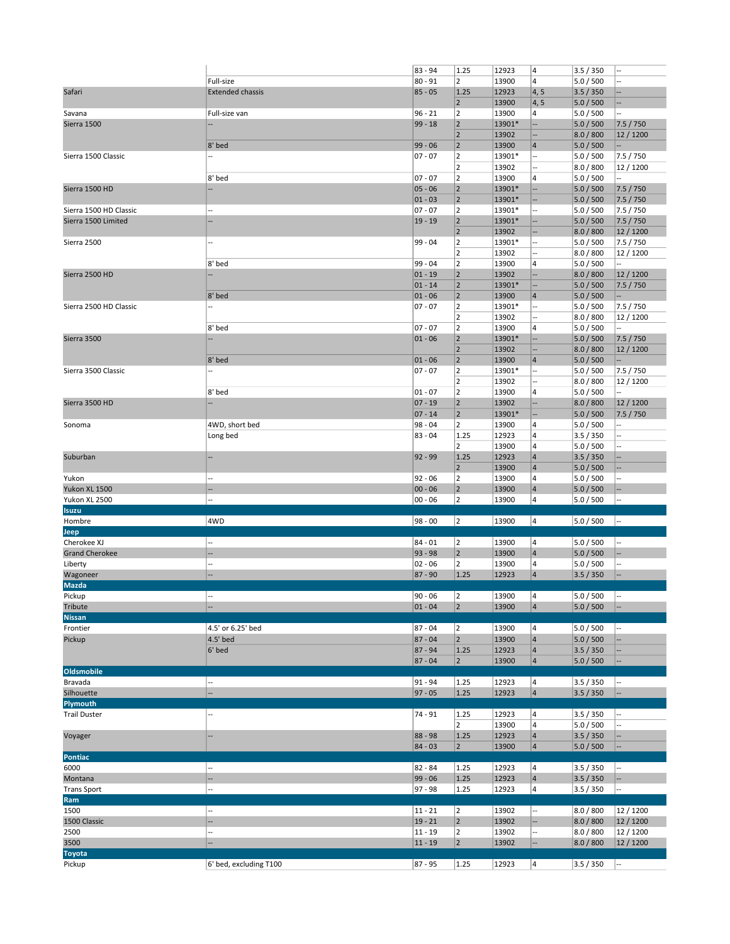|                         |                          | 83 - 94   | 1.25                    | 12923  | 4                       | 3.5 / 350 |           |
|-------------------------|--------------------------|-----------|-------------------------|--------|-------------------------|-----------|-----------|
|                         | Full-size                | $80 - 91$ | $\overline{\mathbf{c}}$ | 13900  | $\overline{\mathbf{4}}$ | 5.0 / 500 |           |
| Safari                  | <b>Extended chassis</b>  | $85 - 05$ | 1.25                    | 12923  | 4, 5                    | 3.5 / 350 |           |
|                         |                          |           | $\overline{2}$          | 13900  | 4, 5                    | 5.0 / 500 | Ξ.        |
| Savana                  | Full-size van            | $96 - 21$ | $\overline{2}$          | 13900  | 4                       | 5.0 / 500 |           |
| Sierra 1500             |                          | $99 - 18$ | $\mathbf 2$             | 13901* | 4                       | 5.0 / 500 | 7.5 / 750 |
|                         |                          |           | $\overline{2}$          | 13902  | --                      | 8.0 / 800 | 12/1200   |
|                         |                          |           | $\mathbf 2$             |        | $\overline{4}$          |           |           |
|                         | 8' bed<br>÷.             | $99 - 06$ |                         | 13900  |                         | 5.0 / 500 |           |
| Sierra 1500 Classic     |                          | $07 - 07$ | 2                       | 13901* | --                      | 5.0 / 500 | 7.5 / 750 |
|                         |                          |           | 2                       | 13902  |                         | 8.0 / 800 | 12 / 1200 |
|                         | 8' bed                   | $07 - 07$ | 2                       | 13900  | $\overline{\mathbf{4}}$ | 5.0 / 500 |           |
| Sierra 1500 HD          |                          | $05 - 06$ | $\overline{2}$          | 13901* | ц,                      | 5.0 / 500 | 7.5 / 750 |
|                         |                          | $01 - 03$ | 2                       | 13901* | ÷                       | 5.0 / 500 | 7.5 / 750 |
| Sierra 1500 HD Classic  | ш,                       | $07 - 07$ | 2                       | 13901* |                         | 5.0 / 500 | 7.5 / 750 |
| Sierra 1500 Limited     |                          | $19 - 19$ | 2                       | 13901* | --                      | 5.0 / 500 | 7.5 / 750 |
|                         |                          |           | $\mathbf 2$             | 13902  | --                      | 8.0 / 800 | 12/1200   |
| Sierra 2500             | ÷.                       | 99 - 04   | 2                       | 13901* | --                      | 5.0 / 500 | 7.5 / 750 |
|                         |                          |           | 2                       | 13902  |                         | 8.0 / 800 | 12 / 1200 |
|                         | 8' bed                   | 99 - 04   | $\overline{\mathbf{c}}$ | 13900  | $\overline{4}$          | 5.0 / 500 |           |
| Sierra 2500 HD          |                          | $01 - 19$ | $\overline{2}$          | 13902  | --                      | 8.0 / 800 | 12 / 1200 |
|                         |                          | $01 - 14$ | $\mathbf 2$             | 13901* | --                      | 5.0 / 500 | 7.5 / 750 |
|                         |                          |           |                         |        |                         |           |           |
|                         | 8' bed                   | $01 - 06$ | $\mathbf 2$             | 13900  | $\overline{4}$          | 5.0 / 500 | --        |
| Sierra 2500 HD Classic  |                          | $07 - 07$ | 2                       | 13901* | --                      | 5.0 / 500 | 7.5 / 750 |
|                         |                          |           | 2                       | 13902  |                         | 8.0 / 800 | 12 / 1200 |
|                         | 8' bed                   | $07 - 07$ | 2                       | 13900  | $\overline{\mathbf{4}}$ | 5.0 / 500 |           |
| Sierra 3500             |                          | $01 - 06$ | $\overline{\mathbf{c}}$ | 13901* | --                      | 5.0 / 500 | 7.5 / 750 |
|                         |                          |           | $\overline{2}$          | 13902  | --                      | 8.0 / 800 | 12/1200   |
|                         | 8' bed                   | $01 - 06$ | $\mathbf 2$             | 13900  | $\overline{4}$          | 5.0 / 500 |           |
| Sierra 3500 Classic     | ÷.                       | $07 - 07$ | 2                       | 13901* | н,                      | 5.0 / 500 | 7.5 / 750 |
|                         |                          |           | 2                       | 13902  |                         | 8.0 / 800 | 12 / 1200 |
|                         | 8' bed                   | $01 - 07$ | $\overline{\mathbf{c}}$ | 13900  | $\overline{4}$          | 5.0 / 500 |           |
| Sierra 3500 HD          |                          | $07 - 19$ | $\overline{2}$          | 13902  | --                      | 8.0 / 800 | 12/1200   |
|                         |                          | $07 - 14$ | $\mathbf 2$             | 13901* |                         | 5.0 / 500 | 7.5 / 750 |
|                         | 4WD, short bed           | 98 - 04   | $\overline{2}$          | 13900  | --<br>4                 |           |           |
| Sonoma                  |                          |           |                         |        |                         | 5.0 / 500 |           |
|                         | Long bed                 | $83 - 04$ | 1.25                    | 12923  | 4                       | 3.5 / 350 |           |
|                         |                          |           | 2                       | 13900  | $\overline{\mathbf{4}}$ | 5.0 / 500 |           |
| Suburban                |                          | $92 - 99$ | 1.25                    | 12923  | $\overline{4}$          | 3.5 / 350 |           |
|                         |                          |           |                         |        |                         |           |           |
|                         |                          |           | $\overline{2}$          | 13900  | $\overline{\mathbf{4}}$ | 5.0 / 500 |           |
| Yukon                   | $\overline{\phantom{a}}$ | 92 - 06   | 2                       | 13900  | $\overline{4}$          | 5.0 / 500 |           |
| Yukon XL 1500           | --                       | $00 - 06$ | 2                       | 13900  | $\overline{4}$          | 5.0 / 500 |           |
| Yukon XL 2500           | --                       | $00 - 06$ | $\overline{2}$          | 13900  | 4                       | 5.0 / 500 |           |
| <b>Isuzu</b>            |                          |           |                         |        |                         |           |           |
| Hombre                  | 4WD                      | $98 - 00$ | 2                       | 13900  | 4                       | 5.0 / 500 |           |
|                         |                          |           |                         |        |                         |           |           |
| Jeep                    | --                       |           |                         |        |                         |           |           |
| Cherokee XJ             | --                       | $84 - 01$ | 2                       | 13900  | 4                       | 5.0 / 500 |           |
| <b>Grand Cherokee</b>   | Ξ.                       | $93 - 98$ | 2                       | 13900  | $\overline{4}$          | 5.0 / 500 |           |
| Liberty                 |                          | $02 - 06$ | $\overline{2}$          | 13900  | $\overline{4}$          | 5.0 / 500 |           |
| Wagoneer                |                          | $87 - 90$ | 1.25                    | 12923  | $\overline{4}$          | 3.5 / 350 |           |
| <b>Mazda</b>            |                          |           |                         |        |                         |           |           |
| Pickup                  |                          | $90 - 06$ | 2                       | 13900  | 14                      | 5.0 / 500 |           |
| Tribute                 |                          | $01 - 04$ | 2                       | 13900  | $\vert$ 4               | 5.0 / 500 |           |
| <b>Nissan</b>           |                          |           |                         |        |                         |           |           |
| Frontier                | 4.5' or 6.25' bed        | $87 - 04$ | 2                       | 13900  | 4                       | 5.0 / 500 |           |
| Pickup                  | 4.5' bed                 | $87 - 04$ | $\overline{2}$          | 13900  | $\vert 4 \vert$         | 5.0 / 500 | ÷.        |
|                         | 6' bed                   | 87 - 94   | 1.25                    | 12923  | $\vert 4 \vert$         | 3.5 / 350 |           |
|                         |                          | $87 - 04$ | $ 2\rangle$             | 13900  | $\vert 4 \vert$         | 5.0 / 500 | --        |
| Oldsmobile              |                          |           |                         |        |                         |           |           |
| Bravada                 | $\overline{a}$           | $91 - 94$ | 1.25                    | 12923  | 4                       | 3.5 / 350 |           |
| Silhouette              | --                       | $97 - 05$ |                         | 12923  | $\vert$ 4               |           |           |
|                         |                          |           | 1.25                    |        |                         | 3.5 / 350 |           |
| Plymouth                | ÷.                       |           |                         |        |                         |           |           |
| <b>Trail Duster</b>     |                          | 74 - 91   | 1.25                    | 12923  | 4                       | 3.5 / 350 |           |
|                         |                          |           | $\overline{2}$          | 13900  | $\overline{4}$          | 5.0 / 500 |           |
| Voyager                 | --                       | $88 - 98$ | 1.25                    | 12923  | $\vert 4 \vert$         | 3.5 / 350 |           |
|                         |                          | $84 - 03$ | $ 2\rangle$             | 13900  | $\vert 4 \vert$         | 5.0 / 500 | --        |
| Pontiac                 |                          |           |                         |        |                         |           |           |
| 6000                    | $\overline{a}$           | $82 - 84$ | 1.25                    | 12923  | 4                       | 3.5 / 350 |           |
| Montana                 | --                       | $99 - 06$ | 1.25                    | 12923  | $\vert$ 4               | 3.5 / 350 |           |
| <b>Trans Sport</b>      | --                       | $97 - 98$ | 1.25                    | 12923  | 4                       | 3.5 / 350 |           |
| Ram                     |                          |           |                         |        |                         |           |           |
| 1500                    | $\overline{a}$           | $11 - 21$ | $\overline{\mathbf{c}}$ | 13902  |                         | 8.0 / 800 | 12 / 1200 |
| 1500 Classic            | $\overline{a}$           | $19 - 21$ | $ 2\rangle$             | 13902  | --                      | 8.0 / 800 | 12/1200   |
| 2500                    | --                       | $11 - 19$ | $\overline{\mathbf{c}}$ | 13902  | --                      | 8.0 / 800 | 12 / 1200 |
|                         |                          |           |                         |        | $\qquad \qquad \cdots$  |           |           |
| 3500                    |                          | $11 - 19$ | 2                       | 13902  |                         | 8.0 / 800 | 12 / 1200 |
| <b>Toyota</b><br>Pickup | 6' bed, excluding T100   | 87 - 95   | 1.25                    | 12923  | 4                       | 3.5 / 350 |           |